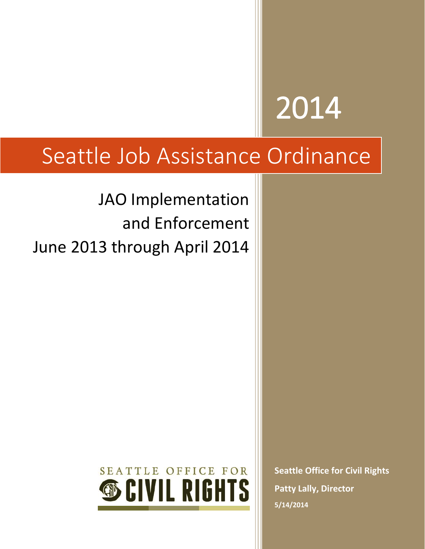# 2014

# Seattle Job Assistance Ordinance

JAO Implementation and Enforcement June 2013 through April 2014



**Seattle Office for Civil Rights Patty Lally, Director 5/14/2014**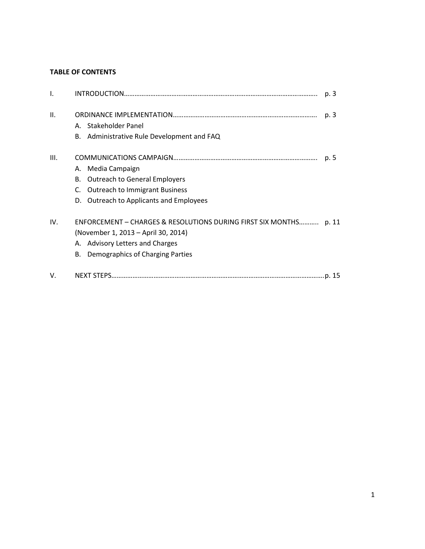#### **TABLE OF CONTENTS**

| $\mathbf{I}$ . |                                                                                                                                                                                    | p. 3 |
|----------------|------------------------------------------------------------------------------------------------------------------------------------------------------------------------------------|------|
| II.            | A. Stakeholder Panel<br>B. Administrative Rule Development and FAQ                                                                                                                 | p. 3 |
| III.           | A. Media Campaign<br><b>Outreach to General Employers</b><br>В.<br><b>Outreach to Immigrant Business</b><br>C.<br>D. Outreach to Applicants and Employees                          | p. 5 |
| IV.            | ENFORCEMENT - CHARGES & RESOLUTIONS DURING FIRST SIX MONTHS p. 11<br>(November 1, 2013 – April 30, 2014)<br>A. Advisory Letters and Charges<br>B. Demographics of Charging Parties |      |
| V.             |                                                                                                                                                                                    |      |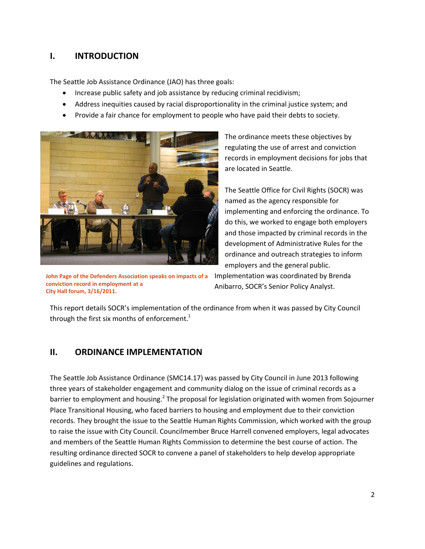# **I. INTRODUCTION**

The Seattle Job Assistance Ordinance (JAO) has three goals:

- Increase public safety and job assistance by reducing criminal recidivism;
- Address inequities caused by racial disproportionality in the criminal justice system; and
- Provide a fair chance for employment to people who have paid their debts to society.



**John Page of the Defenders Association speaks on impacts of a conviction record in employment at a City Hall forum, 3/16/2011.**

The ordinance meets these objectives by regulating the use of arrest and conviction records in employment decisions for jobs that are located in Seattle.

The Seattle Office for Civil Rights (SOCR) was named as the agency responsible for implementing and enforcing the ordinance. To do this, we worked to engage both employers and those impacted by criminal records in the development of Administrative Rules for the ordinance and outreach strategies to inform employers and the general public.

Implementation was coordinated by Brenda Anibarro, SOCR's Senior Policy Analyst.

This report details SOCR's implementation of the ordinance from when it was passed by City Council through the first six months of enforcement. $^{\rm 1}$ 

## **II. ORDINANCE IMPLEMENTATION**

The Seattle Job Assistance Ordinance (SMC14.17) was passed by City Council in June 2013 following three years of stakeholder engagement and community dialog on the issue of criminal records as a barrier to employment and housing.<sup>2</sup> The proposal for legislation originated with women from Sojourner Place Transitional Housing, who faced barriers to housing and employment due to their conviction records. They brought the issue to the Seattle Human Rights Commission, which worked with the group to raise the issue with City Council. Councilmember Bruce Harrell convened employers, legal advocates and members of the Seattle Human Rights Commission to determine the best course of action. The resulting ordinance directed SOCR to convene a panel of stakeholders to help develop appropriate guidelines and regulations.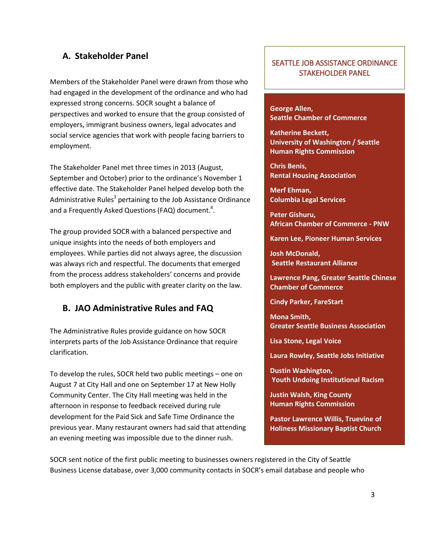#### **A. Stakeholder Panel**

Members of the Stakeholder Panel were drawn from those who had engaged in the development of the ordinance and who had expressed strong concerns. SOCR sought a balance of perspectives and worked to ensure that the group consisted of employers, immigrant business owners, legal advocates and social service agencies that work with people facing barriers to employment.

The Stakeholder Panel met three times in 2013 (August, September and October) prior to the ordinance's November 1 effective date. The Stakeholder Panel helped develop both the Administrative Rules<sup>3</sup> pertaining to the Job Assistance Ordinance and a Frequently Asked Questions (FAQ) document.<sup>4</sup>.

The group provided SOCR with a balanced perspective and unique insights into the needs of both employers and employees. While parties did not always agree, the discussion was always rich and respectful. The documents that emerged from the process address stakeholders' concerns and provide both employers and the public with greater clarity on the law.

#### **B. JAO Administrative Rules and FAQ**

The Administrative Rules provide guidance on how SOCR interprets parts of the Job Assistance Ordinance that require clarification.

To develop the rules, SOCR held two public meetings – one on August 7 at City Hall and one on September 17 at New Holly Community Center. The City Hall meeting was held in the afternoon in response to feedback received during rule development for the Paid Sick and Safe Time Ordinance the previous year. Many restaurant owners had said that attending an evening meeting was impossible due to the dinner rush.

#### SEATTLE JOB ASSISTANCE ORDINANCE STAKEHOLDER PANEL

**George Allen, Seattle Chamber of Commerce**

**Katherine Beckett, University of Washington / Seattle Human Rights Commission**

**Chris Benis, Rental Housing Association**

**Merf Ehman, Columbia Legal Services**

**Peter Gishuru, African Chamber of Commerce - PNW**

**Karen Lee, Pioneer Human Services**

**Josh McDonald, Seattle Restaurant Alliance**

**Lawrence Pang, Greater Seattle Chinese Chamber of Commerce**

**Cindy Parker, FareStart**

**Mona Smith, Greater Seattle Business Association**

**Lisa Stone, Legal Voice**

**Laura Rowley, Seattle Jobs Initiative**

**Dustin Washington, Youth Undoing Institutional Racism**

**Justin Walsh, King County Human Rights Commission**

**Pastor Lawrence Willis, Truevine of Holiness Missionary Baptist Church**

SOCR sent notice of the first public meeting to businesses owners registered in the City of Seattle Business License database, over 3,000 community contacts in SOCR's email database and people who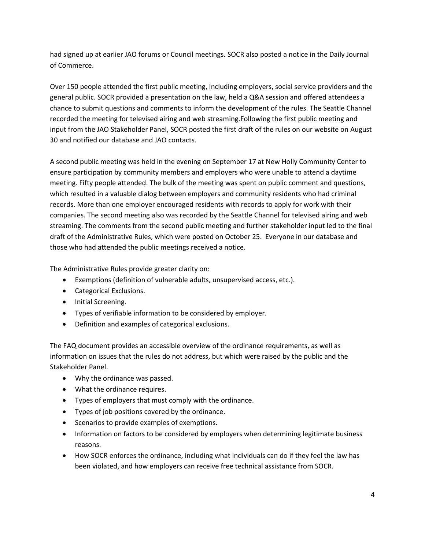had signed up at earlier JAO forums or Council meetings. SOCR also posted a notice in the Daily Journal of Commerce.

Over 150 people attended the first public meeting, including employers, social service providers and the general public. SOCR provided a presentation on the law, held a Q&A session and offered attendees a chance to submit questions and comments to inform the development of the rules. The Seattle Channel recorded the meeting for televised airing and web streaming.Following the first public meeting and input from the JAO Stakeholder Panel, SOCR posted the first draft of the rules on our website on August 30 and notified our database and JAO contacts.

A second public meeting was held in the evening on September 17 at New Holly Community Center to ensure participation by community members and employers who were unable to attend a daytime meeting. Fifty people attended. The bulk of the meeting was spent on public comment and questions, which resulted in a valuable dialog between employers and community residents who had criminal records. More than one employer encouraged residents with records to apply for work with their companies. The second meeting also was recorded by the Seattle Channel for televised airing and web streaming. The comments from the second public meeting and further stakeholder input led to the final draft of the Administrative Rules, which were posted on October 25. Everyone in our database and those who had attended the public meetings received a notice.

The Administrative Rules provide greater clarity on:

- Exemptions (definition of vulnerable adults, unsupervised access, etc.).
- Categorical Exclusions.
- Initial Screening.
- Types of verifiable information to be considered by employer.
- Definition and examples of categorical exclusions.

The FAQ document provides an accessible overview of the ordinance requirements, as well as information on issues that the rules do not address, but which were raised by the public and the Stakeholder Panel.

- Why the ordinance was passed.
- What the ordinance requires.
- Types of employers that must comply with the ordinance.
- Types of job positions covered by the ordinance.
- Scenarios to provide examples of exemptions.
- Information on factors to be considered by employers when determining legitimate business reasons.
- How SOCR enforces the ordinance, including what individuals can do if they feel the law has been violated, and how employers can receive free technical assistance from SOCR.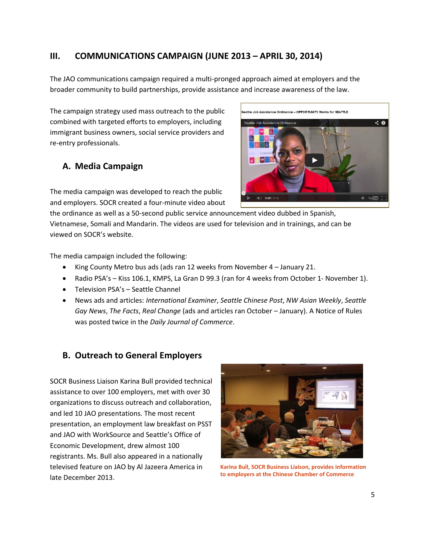# **III. COMMUNICATIONS CAMPAIGN (JUNE 2013 – APRIL 30, 2014)**

The JAO communications campaign required a multi-pronged approach aimed at employers and the broader community to build partnerships, provide assistance and increase awareness of the law.

The campaign strategy used mass outreach to the public combined with targeted efforts to employers, including immigrant business owners, social service providers and re-entry professionals.

# **A. Media Campaign**

The media campaign was developed to reach the public and employers. SOCR created a four-minute video about

the ordinance as well as a 50-second public service announcement video dubbed in Spanish, Vietnamese, Somali and Mandarin. The videos are used for television and in trainings, and can be viewed on SOCR's website.

The media campaign included the following:

- King County Metro bus ads (ads ran 12 weeks from November 4 January 21.
- Radio PSA's Kiss 106.1, KMPS, La Gran D 99.3 (ran for 4 weeks from October 1- November 1).
- Television PSA's Seattle Channel
- News ads and articles: *International Examiner*, *Seattle Chinese Post*, *NW Asian Weekly*, *Seattle Gay News*, *The Facts*, *Real Change* (ads and articles ran October – January). A Notice of Rules was posted twice in the *Daily Journal of Commerce*.

## **B. Outreach to General Employers**

SOCR Business Liaison Karina Bull provided technical assistance to over 100 employers, met with over 30 organizations to discuss outreach and collaboration, and led 10 JAO presentations. The most recent presentation, an employment law breakfast on PSST and JAO with WorkSource and Seattle's Office of Economic Development, drew almost 100 registrants. Ms. Bull also appeared in a nationally televised feature on JAO by Al Jazeera America in late December 2013.



**Karina Bull, SOCR Business Liaison, provides information to employers at the Chinese Chamber of Commerce**

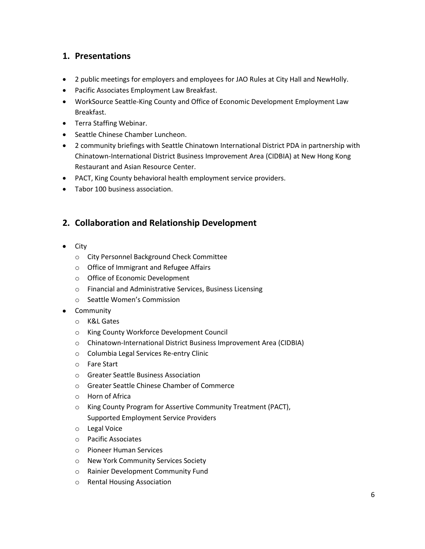# **1. Presentations**

- 2 public meetings for employers and employees for JAO Rules at City Hall and NewHolly.
- Pacific Associates Employment Law Breakfast.
- WorkSource Seattle-King County and Office of Economic Development Employment Law Breakfast.
- Terra Staffing Webinar.
- Seattle Chinese Chamber Luncheon.
- 2 community briefings with Seattle Chinatown International District PDA in partnership with Chinatown-International District Business Improvement Area (CIDBIA) at New Hong Kong Restaurant and Asian Resource Center.
- PACT, King County behavioral health employment service providers.
- Tabor 100 business association.

# **2. Collaboration and Relationship Development**

- $\bullet$  City
	- o City Personnel Background Check Committee
	- o Office of Immigrant and Refugee Affairs
	- o Office of Economic Development
	- o Financial and Administrative Services, Business Licensing
	- o Seattle Women's Commission
- **•** Community
	- o K&L Gates
	- o King County Workforce Development Council
	- o Chinatown-International District Business Improvement Area (CIDBIA)
	- o Columbia Legal Services Re-entry Clinic
	- o Fare Start
	- o Greater Seattle Business Association
	- o Greater Seattle Chinese Chamber of Commerce
	- o Horn of Africa
	- o King County Program for Assertive Community Treatment (PACT), Supported Employment Service Providers
	- o Legal Voice
	- o Pacific Associates
	- o Pioneer Human Services
	- o New York Community Services Society
	- o Rainier Development Community Fund
	- o Rental Housing Association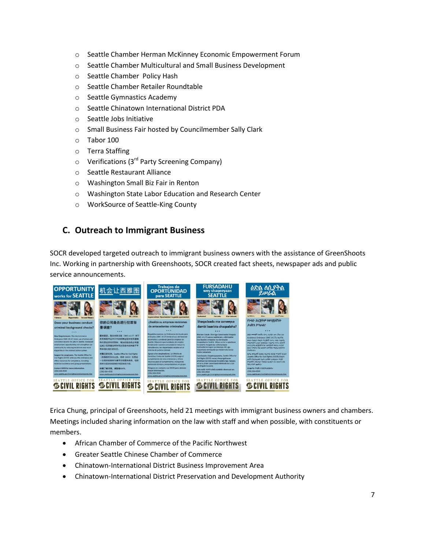- o Seattle Chamber Herman McKinney Economic Empowerment Forum
- o Seattle Chamber Multicultural and Small Business Development
- o Seattle Chamber Policy Hash
- o Seattle Chamber Retailer Roundtable
- o Seattle Gymnastics Academy
- o Seattle Chinatown International District PDA
- o Seattle Jobs Initiative
- o Small Business Fair hosted by Councilmember Sally Clark
- o Tabor 100
- o Terra Staffing
- $\circ$  Verifications (3<sup>rd</sup> Party Screening Company)
- o Seattle Restaurant Alliance
- o Washington Small Biz Fair in Renton
- o Washington State Labor Education and Research Center
- o WorkSource of Seattle-King County

# **C. Outreach to Immigrant Business**

SOCR developed targeted outreach to immigrant business owners with the assistance of GreenShoots Inc. Working in partnership with Greenshoots, SOCR created fact sheets, newspaper ads and public service announcements.



Erica Chung, principal of Greenshoots, held 21 meetings with immigrant business owners and chambers. Meetings included sharing information on the law with staff and when possible, with constituents or members.

- African Chamber of Commerce of the Pacific Northwest
- Greater Seattle Chinese Chamber of Commerce
- Chinatown-International District Business Improvement Area
- Chinatown-International District Preservation and Development Authority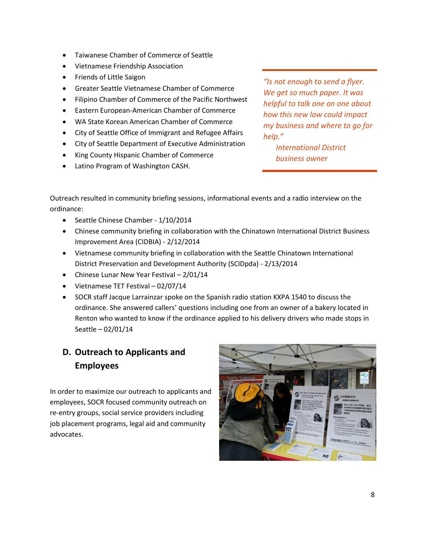- Taiwanese Chamber of Commerce of Seattle
- Vietnamese Friendship Association
- Friends of Little Saigon
- Greater Seattle Vietnamese Chamber of Commerce
- Filipino Chamber of Commerce of the Pacific Northwest
- Eastern European-American Chamber of Commerce
- WA State Korean American Chamber of Commerce
- City of Seattle Office of Immigrant and Refugee Affairs
- City of Seattle Department of Executive Administration
- King County Hispanic Chamber of Commerce
- Latino Program of Washington CASH.

*"Is not enough to send a flyer. We get so much paper. It was helpful to talk one on one about how this new law could impact my business and where to go for help."*

> *International District business owner*

Outreach resulted in community briefing sessions, informational events and a radio interview on the ordinance:

- Seattle Chinese Chamber 1/10/2014
- Chinese community briefing in collaboration with the Chinatown International District Business Improvement Area (CIDBIA) - 2/12/2014
- Vietnamese community briefing in collaboration with the Seattle Chinatown International District Preservation and Development Authority (SCIDpda) - 2/13/2014
- Chinese Lunar New Year Festival 2/01/14
- Vietnamese TET Festival 02/07/14
- SOCR staff Jacque Larrainzar spoke on the Spanish radio station KXPA 1540 to discuss the ordinance. She answered callers' questions including one from an owner of a bakery located in Renton who wanted to know if the ordinance applied to his delivery drivers who made stops in Seattle – 02/01/14

# **D. Outreach to Applicants and Employees**

In order to maximize our outreach to applicants and employees, SOCR focused community outreach on re-entry groups, social service providers including job placement programs, legal aid and community advocates.

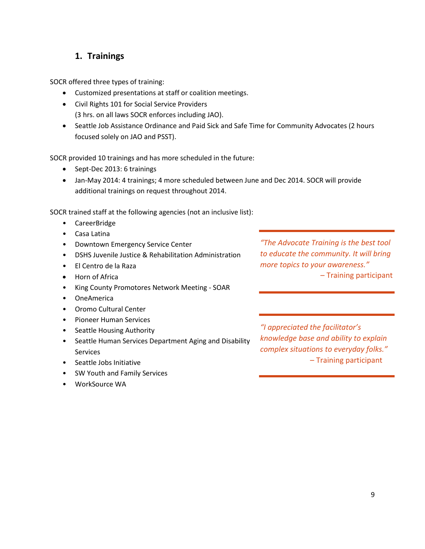# **1. Trainings**

SOCR offered three types of training:

- Customized presentations at staff or coalition meetings.
- Civil Rights 101 for Social Service Providers (3 hrs. on all laws SOCR enforces including JAO).
- Seattle Job Assistance Ordinance and Paid Sick and Safe Time for Community Advocates (2 hours focused solely on JAO and PSST).

SOCR provided 10 trainings and has more scheduled in the future:

- Sept-Dec 2013: 6 trainings
- Jan-May 2014: 4 trainings; 4 more scheduled between June and Dec 2014. SOCR will provide additional trainings on request throughout 2014.

SOCR trained staff at the following agencies (not an inclusive list):

- CareerBridge
- Casa Latina
- Downtown Emergency Service Center
- DSHS Juvenile Justice & Rehabilitation Administration
- El Centro de la Raza
- Horn of Africa
- King County Promotores Network Meeting SOAR
- OneAmerica
- Oromo Cultural Center
- Pioneer Human Services
- Seattle Housing Authority
- Seattle Human Services Department Aging and Disability Services
- Seattle Jobs Initiative
- SW Youth and Family Services
- WorkSource WA

*"The Advocate Training is the best tool to educate the community. It will bring more topics to your awareness."* – Training participant

*"I appreciated the facilitator's knowledge base and ability to explain complex situations to everyday folks."* – Training participant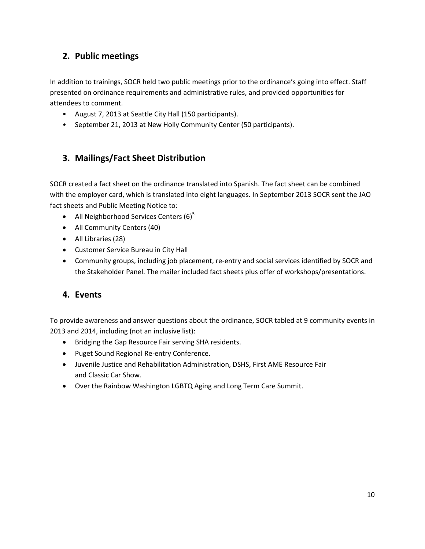# **2. Public meetings**

In addition to trainings, SOCR held two public meetings prior to the ordinance's going into effect. Staff presented on ordinance requirements and administrative rules, and provided opportunities for attendees to comment.

- August 7, 2013 at Seattle City Hall (150 participants).
- September 21, 2013 at New Holly Community Center (50 participants).

# **3. Mailings/Fact Sheet Distribution**

SOCR created a fact sheet on the ordinance translated into Spanish. The fact sheet can be combined with the employer card, which is translated into eight languages. In September 2013 SOCR sent the JAO fact sheets and Public Meeting Notice to:

- All Neighborhood Services Centers  $(6)^5$
- All Community Centers (40)
- All Libraries (28)
- Customer Service Bureau in City Hall
- Community groups, including job placement, re-entry and social services identified by SOCR and the Stakeholder Panel. The mailer included fact sheets plus offer of workshops/presentations.

## **4. Events**

To provide awareness and answer questions about the ordinance, SOCR tabled at 9 community events in 2013 and 2014, including (not an inclusive list):

- Bridging the Gap Resource Fair serving SHA residents.
- Puget Sound Regional Re-entry Conference.
- Juvenile Justice and Rehabilitation Administration, DSHS, First AME Resource Fair and Classic Car Show.
- Over the Rainbow Washington LGBTQ Aging and Long Term Care Summit.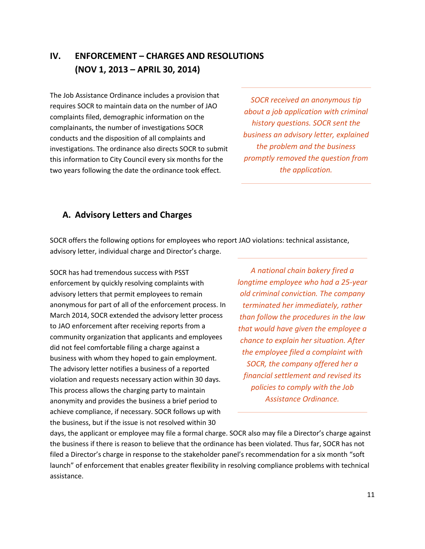# **IV. ENFORCEMENT – CHARGES AND RESOLUTIONS (NOV 1, 2013 – APRIL 30, 2014)**

The Job Assistance Ordinance includes a provision that requires SOCR to maintain data on the number of JAO complaints filed, demographic information on the complainants, the number of investigations SOCR conducts and the disposition of all complaints and investigations. The ordinance also directs SOCR to submit this information to City Council every six months for the two years following the date the ordinance took effect.

*SOCR received an anonymous tip about a job application with criminal history questions. SOCR sent the business an advisory letter, explained the problem and the business promptly removed the question from the application.*

#### **A. Advisory Letters and Charges**

SOCR offers the following options for employees who report JAO violations: technical assistance, advisory letter, individual charge and Director's charge.

SOCR has had tremendous success with PSST enforcement by quickly resolving complaints with advisory letters that permit employees to remain anonymous for part of all of the enforcement process. In March 2014, SOCR extended the advisory letter process to JAO enforcement after receiving reports from a community organization that applicants and employees did not feel comfortable filing a charge against a business with whom they hoped to gain employment. The advisory letter notifies a business of a reported violation and requests necessary action within 30 days. This process allows the charging party to maintain anonymity and provides the business a brief period to achieve compliance, if necessary. SOCR follows up with the business, but if the issue is not resolved within 30

*A national chain bakery fired a longtime employee who had a 25‐year old criminal conviction. The company terminated her immediately, rather than follow the procedures in the law that would have given the employee a chance to explain her situation. After the employee filed a complaint with SOCR, the company offered her a financial settlement and revised its policies to comply with the Job Assistance Ordinance.*

days, the applicant or employee may file a formal charge. SOCR also may file a Director's charge against the business if there is reason to believe that the ordinance has been violated. Thus far, SOCR has not filed a Director's charge in response to the stakeholder panel's recommendation for a six month "soft launch" of enforcement that enables greater flexibility in resolving compliance problems with technical assistance.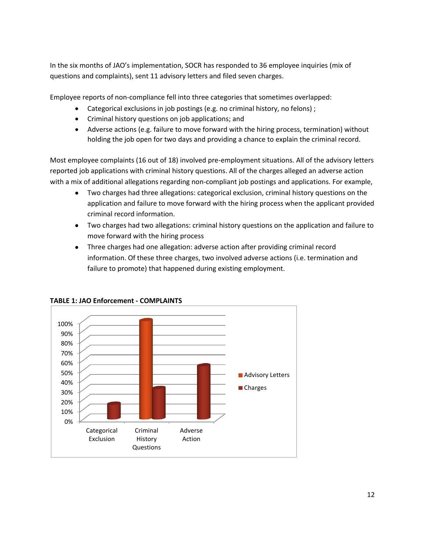In the six months of JAO's implementation, SOCR has responded to 36 employee inquiries (mix of questions and complaints), sent 11 advisory letters and filed seven charges.

Employee reports of non-compliance fell into three categories that sometimes overlapped:

- Categorical exclusions in job postings (e.g. no criminal history, no felons);
- Criminal history questions on job applications; and
- Adverse actions (e.g. failure to move forward with the hiring process, termination) without holding the job open for two days and providing a chance to explain the criminal record.

Most employee complaints (16 out of 18) involved pre-employment situations. All of the advisory letters reported job applications with criminal history questions. All of the charges alleged an adverse action with a mix of additional allegations regarding non-compliant job postings and applications. For example,

- Two charges had three allegations: categorical exclusion, criminal history questions on the application and failure to move forward with the hiring process when the applicant provided criminal record information.
- Two charges had two allegations: criminal history questions on the application and failure to move forward with the hiring process
- Three charges had one allegation: adverse action after providing criminal record information. Of these three charges, two involved adverse actions (i.e. termination and failure to promote) that happened during existing employment.



**TABLE 1: JAO Enforcement - COMPLAINTS**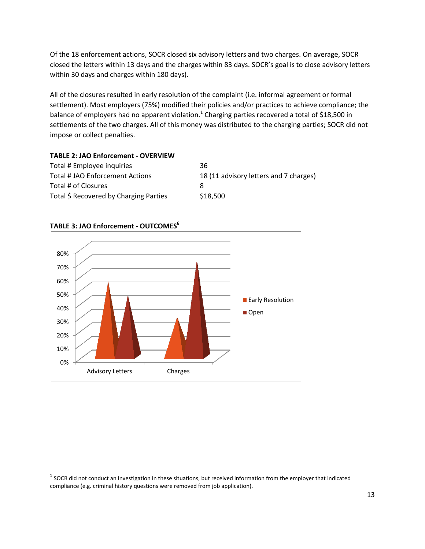Of the 18 enforcement actions, SOCR closed six advisory letters and two charges. On average, SOCR closed the letters within 13 days and the charges within 83 days. SOCR's goal is to close advisory letters within 30 days and charges within 180 days).

All of the closures resulted in early resolution of the complaint (i.e. informal agreement or formal settlement). Most employers (75%) modified their policies and/or practices to achieve compliance; the balance of employers had no apparent violation.<sup>1</sup> Charging parties recovered a total of \$18,500 in settlements of the two charges. All of this money was distributed to the charging parties; SOCR did not impose or collect penalties.

#### **TABLE 2: JAO Enforcement - OVERVIEW** Total # Employee inquiries 36 Total # JAO Enforcement Actions 18 (11 advisory letters and 7 charges) Total # of Closures 8

# 0% 10% 20% 30% 40% 50% 60% 70% 80% Advisory Letters Charges **Early Resolution** Open

#### **TABLE 3: JAO Enforcement - OUTCOMES<sup>6</sup>**

 $\overline{a}$ 

Total \$ Recovered by Charging Parties \$18,500

 $^1$  SOCR did not conduct an investigation in these situations, but received information from the employer that indicated compliance (e.g. criminal history questions were removed from job application).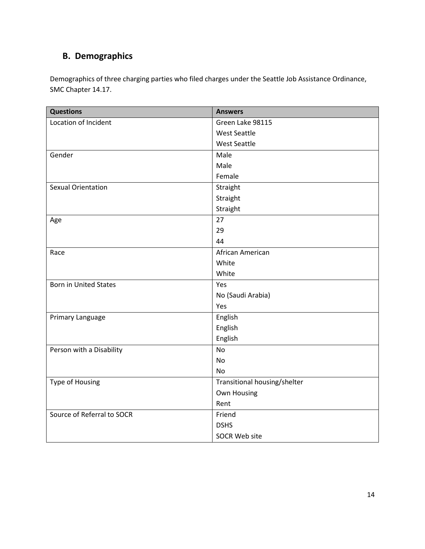# **B. Demographics**

Demographics of three charging parties who filed charges under the Seattle Job Assistance Ordinance, SMC Chapter 14.17.

| <b>Questions</b>             | <b>Answers</b>               |
|------------------------------|------------------------------|
| Location of Incident         | Green Lake 98115             |
|                              | <b>West Seattle</b>          |
|                              | <b>West Seattle</b>          |
| Gender                       | Male                         |
|                              | Male                         |
|                              | Female                       |
| <b>Sexual Orientation</b>    | Straight                     |
|                              | Straight                     |
|                              | Straight                     |
| Age                          | 27                           |
|                              | 29                           |
|                              | 44                           |
| Race                         | African American             |
|                              | White                        |
|                              | White                        |
| <b>Born in United States</b> | Yes                          |
|                              | No (Saudi Arabia)            |
|                              | Yes                          |
| Primary Language             | English                      |
|                              | English                      |
|                              | English                      |
| Person with a Disability     | <b>No</b>                    |
|                              | <b>No</b>                    |
|                              | No                           |
| Type of Housing              | Transitional housing/shelter |
|                              | Own Housing                  |
|                              | Rent                         |
| Source of Referral to SOCR   | Friend                       |
|                              | <b>DSHS</b>                  |
|                              | <b>SOCR Web site</b>         |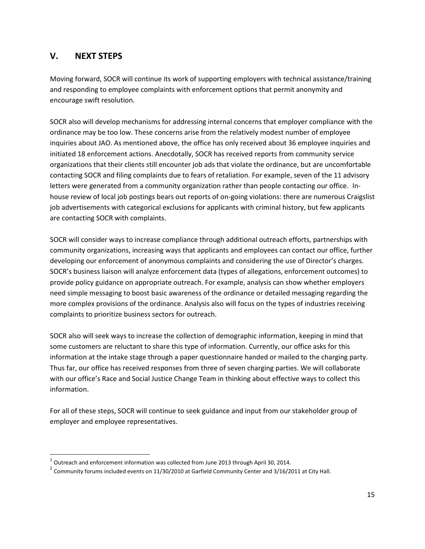# **V. NEXT STEPS**

 $\overline{\phantom{a}}$ 

Moving forward, SOCR will continue its work of supporting employers with technical assistance/training and responding to employee complaints with enforcement options that permit anonymity and encourage swift resolution.

SOCR also will develop mechanisms for addressing internal concerns that employer compliance with the ordinance may be too low. These concerns arise from the relatively modest number of employee inquiries about JAO. As mentioned above, the office has only received about 36 employee inquiries and initiated 18 enforcement actions. Anecdotally, SOCR has received reports from community service organizations that their clients still encounter job ads that violate the ordinance, but are uncomfortable contacting SOCR and filing complaints due to fears of retaliation. For example, seven of the 11 advisory letters were generated from a community organization rather than people contacting our office. Inhouse review of local job postings bears out reports of on-going violations: there are numerous Craigslist job advertisements with categorical exclusions for applicants with criminal history, but few applicants are contacting SOCR with complaints.

SOCR will consider ways to increase compliance through additional outreach efforts, partnerships with community organizations, increasing ways that applicants and employees can contact our office, further developing our enforcement of anonymous complaints and considering the use of Director's charges. SOCR's business liaison will analyze enforcement data (types of allegations, enforcement outcomes) to provide policy guidance on appropriate outreach. For example, analysis can show whether employers need simple messaging to boost basic awareness of the ordinance or detailed messaging regarding the more complex provisions of the ordinance. Analysis also will focus on the types of industries receiving complaints to prioritize business sectors for outreach.

SOCR also will seek ways to increase the collection of demographic information, keeping in mind that some customers are reluctant to share this type of information. Currently, our office asks for this information at the intake stage through a paper questionnaire handed or mailed to the charging party. Thus far, our office has received responses from three of seven charging parties. We will collaborate with our office's Race and Social Justice Change Team in thinking about effective ways to collect this information.

For all of these steps, SOCR will continue to seek guidance and input from our stakeholder group of employer and employee representatives.

 $^1$  Outreach and enforcement information was collected from June 2013 through April 30, 2014.

 $^2$  Community forums included events on 11/30/2010 at Garfield Community Center and 3/16/2011 at City Hall.